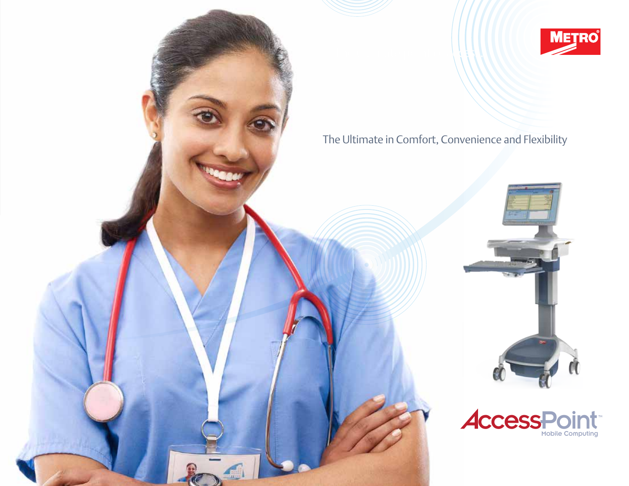

The Ultimate in Comfort, Convenience and Flexibility

The ultimate point of  $\Lambda$  (  $\Lambda$ 



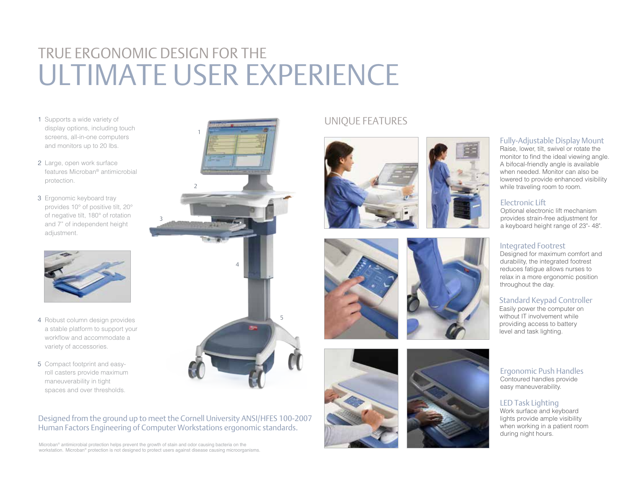# True ergonomic design for the ULTIMATE USER EXPEI

- 1 Supports a wide variety of display options, including touch screens, all-in-one computers and monitors up to 20 lbs.
- 2 Large, open work surface features Microban ® antimicrobial protection.
- 3 Ergonomic keyboard tray provides 10° of positive tilt, 20° of negative tilt, 180° of rotation and 7" of independent height adjustment.



- 4 Robust column design provides a stable platform to support your workflow and accommodate a variety of accessories.
- 5 Compact footprint and easyroll casters provide maximum maneuverability in tight spaces and over thresholds.



3

Microban ® antimicrobial protection helps prevent the growth of stain and odor causing bacteria on the workstation. Microban ® protection is not designed to protect users against disease causing microorganisms.



## UNIQUE FEATURES









## Fully-Adjustable Display Mount

Raise, lower, tilt, swivel or rotate the monitor to find the ideal viewing angle. A bifocal-friendly angle is available when needed. Monitor can also be lowered to provide enhanced visibility while traveling room to room.

### Electronic Lift

Optional electronic lift mechanism provides strain-free adjustment for a keyboard height range of 23"- 48".

## Integrated Footrest

Designed for maximum comfort and durability, the integrated footrest reduces fatigue allows nurses to relax in a more ergonomic position throughout the day.

### Standard Keypad Controller

Easily power the computer on without IT involvement while providing access to battery level and task lighting.

#### Ergonomic Push Handles Contoured handles provide easy maneuverability.

## LED Task Lighting

Work surface and keyboard lights provide ample visibility when working in a patient room during night hours.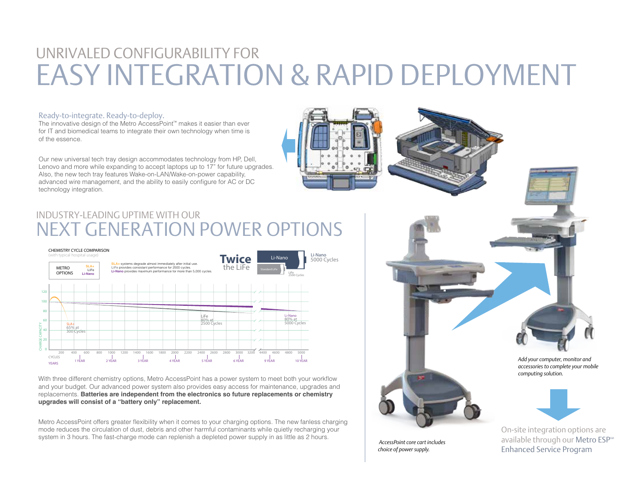#### UNRIVALED CONFIGURABILITY FOR EASY INTEGRATION & RAPID DEPLOYMENT 15 an 100 10 V Li-ion NiMH

#### Ready-to-integrate. Ready-to-deploy.

The innovative design of the Metro AccessPoint™ makes it easier than ever for IT and biomedical teams to integrate their own technology when time is of the essence.

Our new universal tech tray design accommodates technology from HP, Dell, Lenovo and more while expanding to accept laptops up to  $17"$  for future upgrades. Also, the new tech tray features Wake-on-LAN/Wake-on-power capability, advanced wire management, and the ability to easily configure for AC or DC technology integration.





## **NEXT GENERATION POWER OPTIONS** industry-leading uptime with our



With three different chemistry options, Metro AccessPoint has a power system to meet both your workflow and your budget. Our advanced power system also provides easy access for maintenance, upgrades and replacements. **Batteries are independent from the electronics so future replacements or chemistry upgrades will consist of a "battery only" replacement.**

Metro AccessPoint offers greater flexibility when it comes to your charging options. The new fanless charging mode reduces the circulation of dust, debris and other harmful contaminants while quietly recharging your system in 3 hours. The fast-charge mode can replenish a depleted power supply in as little as 2 hours.

*Add your computer, monitor and accessories to complete your mobile computing solution.*

 *AccessPoint core cart includes choice of power supply.*

On-site integration options are

available through our Metro ESP<sup>SM</sup> Enhanced Service Program